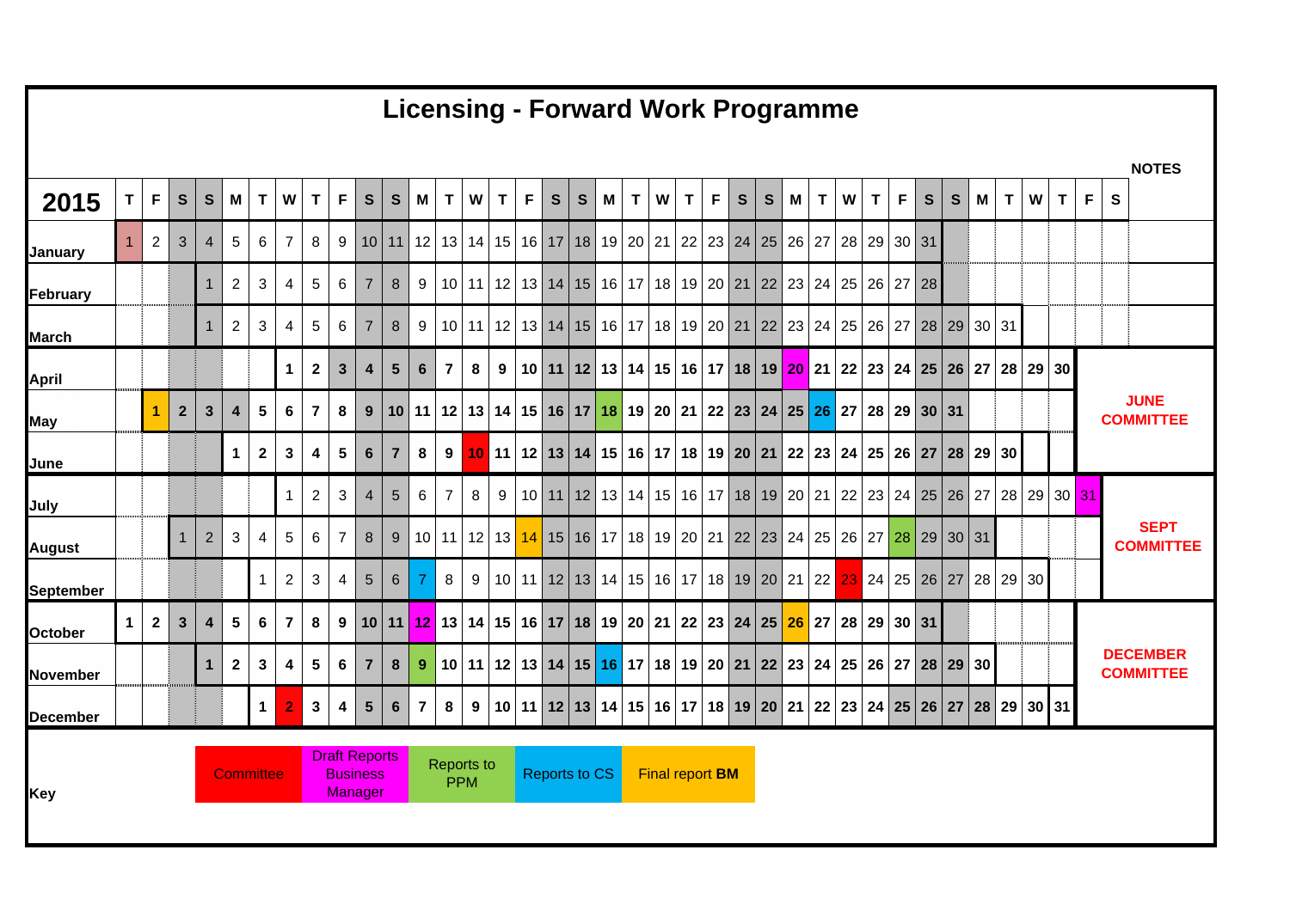| $\mathbf T$  |                | $\mathbf{s}$   | $\mathbf{s}$   |                         | $\mathbf{T}$ | W                                |                  | F               | $\mathsf{s}$                                                                          |                  | <b>M</b>                                           | $\mathbf T$                          |   | $\mathbf{T}$ | $\mathsf F$                                            | S | M |                      | $\mathbf T$ |   | S | S                           |                                     |                                                                                                                                                                       | $\mathbf{T}$                                                                                                                                                                                          | $\mathsf{F}$ | $\mathbf{s}$ | S                                                                                                                       | M                                                                                                           |                                                           | W                                                                                                                                                                                                                                             | T                                                                                           | F                                                                                                                           | $\mathbf{s}$ | <b>NOTES</b>                        |
|--------------|----------------|----------------|----------------|-------------------------|--------------|----------------------------------|------------------|-----------------|---------------------------------------------------------------------------------------|------------------|----------------------------------------------------|--------------------------------------|---|--------------|--------------------------------------------------------|---|---|----------------------|-------------|---|---|-----------------------------|-------------------------------------|-----------------------------------------------------------------------------------------------------------------------------------------------------------------------|-------------------------------------------------------------------------------------------------------------------------------------------------------------------------------------------------------|--------------|--------------|-------------------------------------------------------------------------------------------------------------------------|-------------------------------------------------------------------------------------------------------------|-----------------------------------------------------------|-----------------------------------------------------------------------------------------------------------------------------------------------------------------------------------------------------------------------------------------------|---------------------------------------------------------------------------------------------|-----------------------------------------------------------------------------------------------------------------------------|--------------|-------------------------------------|
| $\mathbf{1}$ | $\overline{2}$ | $\mathbf{3}$   | $\overline{4}$ | $\sqrt{5}$              | 6            | $\overline{7}$                   |                  | 9               |                                                                                       |                  |                                                    |                                      |   |              |                                                        |   |   |                      |             |   |   |                             |                                     |                                                                                                                                                                       |                                                                                                                                                                                                       |              |              |                                                                                                                         |                                                                                                             |                                                           |                                                                                                                                                                                                                                               |                                                                                             |                                                                                                                             |              |                                     |
|              |                |                | $\mathbf{1}$   | $\overline{2}$          | $\mathbf{3}$ | 4                                | 5                | 6               | $\overline{7}$                                                                        | 8                | 9                                                  |                                      |   |              |                                                        |   |   |                      |             |   |   |                             |                                     |                                                                                                                                                                       |                                                                                                                                                                                                       |              |              |                                                                                                                         |                                                                                                             |                                                           |                                                                                                                                                                                                                                               |                                                                                             |                                                                                                                             |              |                                     |
|              |                |                | $\mathbf{1}$   | 2                       | 3            | 4                                | 5                | 6               | $\overline{7}$                                                                        | 8                | 9                                                  |                                      |   |              |                                                        |   |   |                      |             |   |   |                             |                                     |                                                                                                                                                                       |                                                                                                                                                                                                       |              |              |                                                                                                                         |                                                                                                             |                                                           |                                                                                                                                                                                                                                               |                                                                                             |                                                                                                                             |              |                                     |
|              |                |                |                |                         |              | $\mathbf 1$                      | $\mathbf{2}$     | $\mathbf{3}$    | $\overline{\mathbf{4}}$                                                               | $5\overline{)}$  | $6\phantom{1}6$                                    | $\overline{7}$                       | 8 | 9            |                                                        |   |   |                      |             |   |   |                             |                                     |                                                                                                                                                                       |                                                                                                                                                                                                       |              |              |                                                                                                                         |                                                                                                             |                                                           |                                                                                                                                                                                                                                               |                                                                                             |                                                                                                                             |              |                                     |
|              | 1              | $\overline{2}$ | $\mathbf{3}$   | $\overline{\mathbf{4}}$ | 5            | 6                                |                  | 8               | 9                                                                                     |                  |                                                    |                                      |   |              |                                                        |   |   |                      |             |   |   |                             |                                     |                                                                                                                                                                       |                                                                                                                                                                                                       |              |              |                                                                                                                         |                                                                                                             |                                                           |                                                                                                                                                                                                                                               |                                                                                             |                                                                                                                             |              | <b>JUNE</b><br><b>COMMITTEE</b>     |
|              |                |                |                |                         | $\mathbf{2}$ | $\mathbf{3}$                     |                  | $5\phantom{.0}$ | $6\phantom{1}$                                                                        | $\overline{7}$   | $\bf{8}$                                           | $\boldsymbol{9}$                     |   |              |                                                        |   |   |                      |             |   |   |                             |                                     |                                                                                                                                                                       |                                                                                                                                                                                                       |              |              |                                                                                                                         |                                                                                                             |                                                           |                                                                                                                                                                                                                                               |                                                                                             |                                                                                                                             |              |                                     |
|              |                |                |                |                         |              | $\mathbf{1}$                     |                  | 3               | $\overline{\mathbf{4}}$                                                               | 5 <sup>1</sup>   | 6                                                  | $\overline{7}$                       |   |              |                                                        |   |   |                      |             |   |   |                             |                                     |                                                                                                                                                                       |                                                                                                                                                                                                       |              |              |                                                                                                                         |                                                                                                             |                                                           |                                                                                                                                                                                                                                               |                                                                                             |                                                                                                                             |              |                                     |
|              |                | $\mathbf{1}$   | $\overline{2}$ | $\mathbf{3}$            | 4            | 5                                |                  | $\overline{7}$  | 8                                                                                     | $\boldsymbol{9}$ |                                                    |                                      |   |              |                                                        |   |   |                      |             |   |   |                             |                                     |                                                                                                                                                                       |                                                                                                                                                                                                       |              |              |                                                                                                                         |                                                                                                             |                                                           |                                                                                                                                                                                                                                               |                                                                                             |                                                                                                                             |              | <b>SEPT</b><br><b>COMMITTEE</b>     |
|              |                |                |                |                         | $\mathbf{1}$ | 2                                | 3 <sup>1</sup>   | $\overline{4}$  | 5 <sup>5</sup>                                                                        | 6                | 7                                                  | 8                                    |   |              |                                                        |   |   |                      |             |   |   |                             |                                     | 23                                                                                                                                                                    |                                                                                                                                                                                                       |              |              |                                                                                                                         |                                                                                                             |                                                           |                                                                                                                                                                                                                                               |                                                                                             |                                                                                                                             |              |                                     |
| $\mathbf 1$  | $\mathbf{2}$   | $\mathbf{3}$   | $\overline{4}$ | 5                       | 6            | $\overline{7}$                   | 8                | 9               |                                                                                       |                  |                                                    |                                      |   |              |                                                        |   |   |                      |             |   |   |                             |                                     |                                                                                                                                                                       |                                                                                                                                                                                                       |              |              |                                                                                                                         |                                                                                                             |                                                           |                                                                                                                                                                                                                                               |                                                                                             |                                                                                                                             |              |                                     |
|              |                |                | $\mathbf{1}$   | $\mathbf{2}$            | $\mathbf{3}$ | 4                                |                  | 6               | $\overline{7}$                                                                        | 8                | 9                                                  |                                      |   |              |                                                        |   |   |                      |             |   |   |                             |                                     |                                                                                                                                                                       |                                                                                                                                                                                                       |              |              |                                                                                                                         |                                                                                                             |                                                           |                                                                                                                                                                                                                                               |                                                                                             |                                                                                                                             |              | <b>DECEMBER</b><br><b>COMMITTEE</b> |
|              |                |                |                |                         | $\mathbf 1$  | $\bf{2}$                         |                  | 4               | $5\phantom{.0}$                                                                       | $6\phantom{.0}$  | $\overline{7}$                                     | 8                                    |   |              |                                                        |   |   |                      |             |   |   |                             |                                     |                                                                                                                                                                       |                                                                                                                                                                                                       |              |              |                                                                                                                         |                                                                                                             |                                                           |                                                                                                                                                                                                                                               |                                                                                             |                                                                                                                             |              |                                     |
|              |                |                |                |                         |              |                                  |                  |                 |                                                                                       |                  |                                                    |                                      |   |              |                                                        |   |   |                      |             |   |   |                             |                                     |                                                                                                                                                                       |                                                                                                                                                                                                       |              |              |                                                                                                                         |                                                                                                             |                                                           |                                                                                                                                                                                                                                               |                                                                                             |                                                                                                                             |              |                                     |
|              |                |                | F              |                         |              | M <sub>1</sub><br>1 <sup>1</sup> | <b>Committee</b> |                 | T<br>8<br>7 <sup>1</sup><br>4<br>$2^{\circ}$<br>6 <sup>1</sup><br>5 <sup>1</sup><br>3 |                  | <b>Draft Reports</b><br><b>Business</b><br>Manager | $\vert$ S $\vert$<br>10 11 <br>10 11 |   | <b>PPM</b>   | <b>W</b><br>8 <sup>1</sup><br>9 I<br><b>Reports to</b> |   | s | <b>Reports to CS</b> | T           | W |   | F<br><b>Final report BM</b> | 10 11 12 13 14 15 16 17 18 19 20 21 | <b>M</b><br>  12   13   14   15   16   17   18   19   20   21   22   23   24   25   26   27<br>10   11   12   13   14   15   16   17   18   19 <mark>  20</mark>   21 | <b>Licensing - Forward Work Programme</b><br>$\mathbf{T}$<br>22<br>  10   11   12   13   14   15   16   17   18   19   20   21   22  <br><mark>12</mark> 13 14 15 16 17 18 19 20 21 22 23 24 25 26 27 | W<br>28      |              | 29 30 31<br>10   11   12   13   14   15   16   17   18   19   20   21   22   23   24   25   26   27   28<br>28 29 30 31 | 10   11   12   13   14   15   16   17   18   19   20   21   22   23   24   25   26   27   28   29   30   31 | 22   23   24   25   26   27   28   29  <br>23 24 25 26 27 | 30 31<br>9   10   11   12   13   14   15   16   17   18   19   20   21   22   23   24   25   26   27  <br>10 11 12 13 14 15 16 17 18 19 20 21 22 23 24 25 26 27 28 29 30 31<br>10 11 12 13 14 15 16 17 18 19 20 21 22 23 24 25 26 27 28 29 30 | T<br>10 11 12 13 14 15 16 17 18 19 20 21 22 23 24 25 26 27 28 29 30<br>24 25 26 27 28 29 30 | 28 29 30<br>9   10   11   12   13   14   15   16   17   18   19   20   21   22   23   24   25   26   27   28   29   30   31 | 28 29 30 31  |                                     |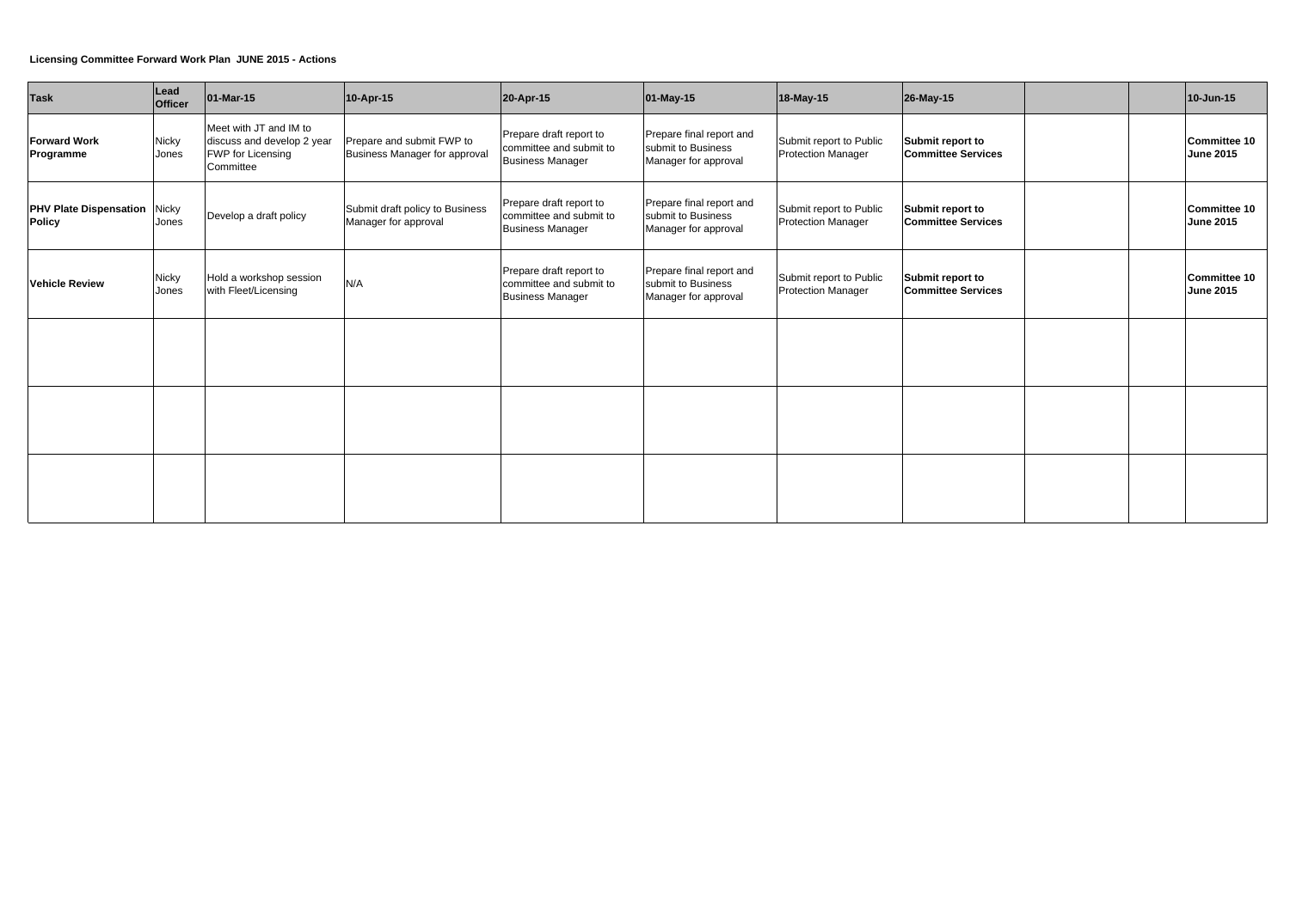### **Licensing Committee Forward Work Plan JUNE 2015 - Actions**

| <b>Task</b>                                          | Lead<br>Officer       | 01-Mar-15                                                                                     | 10-Apr-15                                                  | 20-Apr-15                                                                     | 01-May-15                                                              | 18-May-15                                            | 26-May-15                                     |  | 10-Jun-15                        |
|------------------------------------------------------|-----------------------|-----------------------------------------------------------------------------------------------|------------------------------------------------------------|-------------------------------------------------------------------------------|------------------------------------------------------------------------|------------------------------------------------------|-----------------------------------------------|--|----------------------------------|
| <b>Forward Work</b><br>Programme                     | <b>Nicky</b><br>Jones | Meet with JT and IM to<br>discuss and develop 2 year<br><b>FWP for Licensing</b><br>Committee | Prepare and submit FWP to<br>Business Manager for approval | Prepare draft report to<br>committee and submit to<br><b>Business Manager</b> | Prepare final report and<br>submit to Business<br>Manager for approval | Submit report to Public<br><b>Protection Manager</b> | Submit report to<br><b>Committee Services</b> |  | Committee 10<br><b>June 2015</b> |
| <b>PHV Plate Dispensation Nicky</b><br><b>Policy</b> | Jones                 | Develop a draft policy                                                                        | Submit draft policy to Business<br>Manager for approval    | Prepare draft report to<br>committee and submit to<br><b>Business Manager</b> | Prepare final report and<br>submit to Business<br>Manager for approval | Submit report to Public<br><b>Protection Manager</b> | Submit report to<br><b>Committee Services</b> |  | Committee 10<br><b>June 2015</b> |
| <b>Vehicle Review</b>                                | <b>Nicky</b><br>Jones | Hold a workshop session<br>with Fleet/Licensing                                               | N/A                                                        | Prepare draft report to<br>committee and submit to<br><b>Business Manager</b> | Prepare final report and<br>submit to Business<br>Manager for approval | Submit report to Public<br><b>Protection Manager</b> | Submit report to<br><b>Committee Services</b> |  | Committee 10<br><b>June 2015</b> |
|                                                      |                       |                                                                                               |                                                            |                                                                               |                                                                        |                                                      |                                               |  |                                  |
|                                                      |                       |                                                                                               |                                                            |                                                                               |                                                                        |                                                      |                                               |  |                                  |
|                                                      |                       |                                                                                               |                                                            |                                                                               |                                                                        |                                                      |                                               |  |                                  |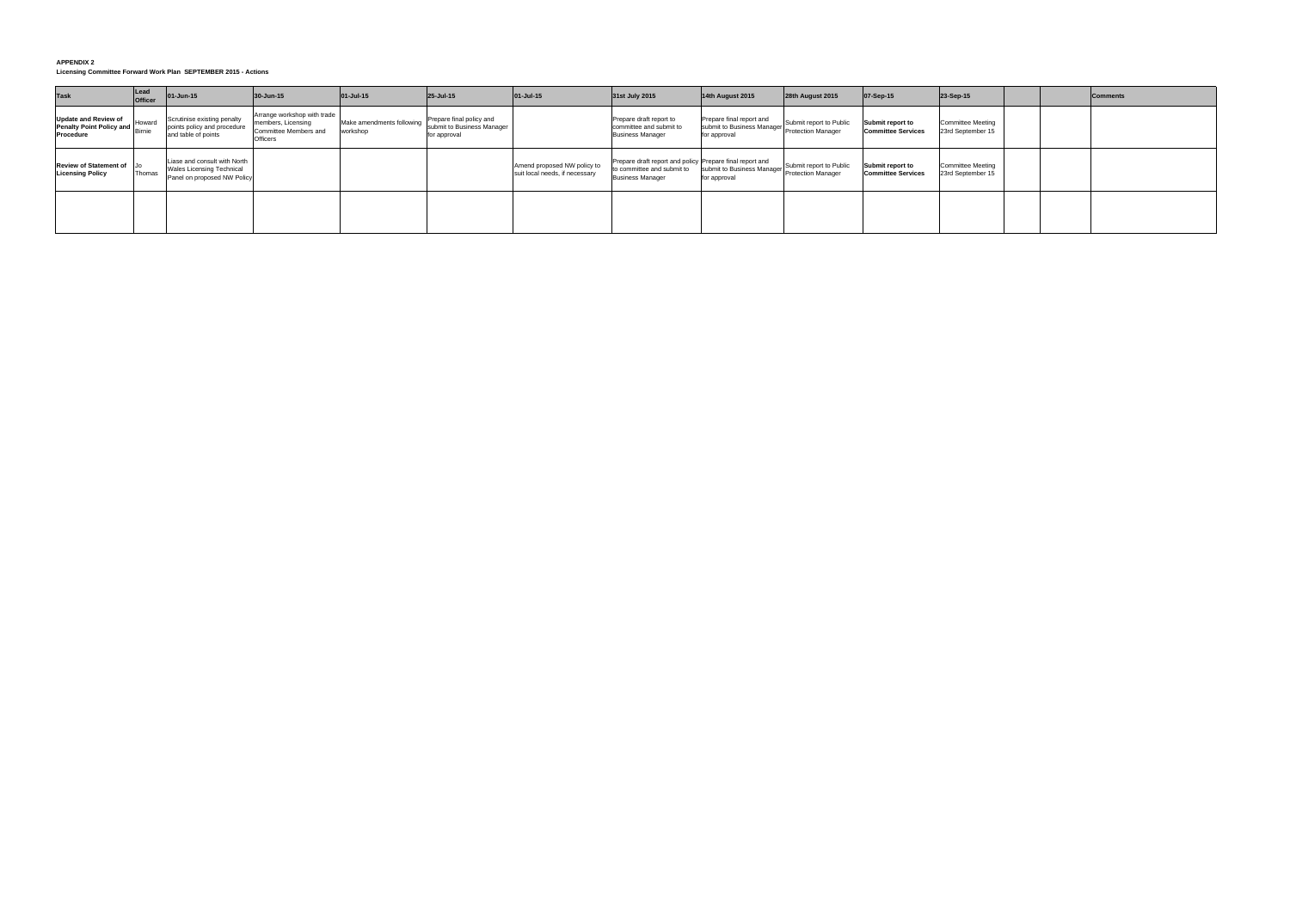#### **APPENDIX 2**

| <b>Task</b>                                                                 | Lead<br>Officer | 01-Jun-15                                                                                       | 30-Jun-15                                                                                     | 01-Jul-15                             | 25-Jul-15                                                              | $01-Jul-15$                                                   | 31st July 2015                                                                                                    | 14th August 2015                                                                          | 28th August 2015        | 07-Sep-15                                     | 23-Sep-15                                     | <b>Comments</b> |
|-----------------------------------------------------------------------------|-----------------|-------------------------------------------------------------------------------------------------|-----------------------------------------------------------------------------------------------|---------------------------------------|------------------------------------------------------------------------|---------------------------------------------------------------|-------------------------------------------------------------------------------------------------------------------|-------------------------------------------------------------------------------------------|-------------------------|-----------------------------------------------|-----------------------------------------------|-----------------|
| <b>Update and Review of</b><br><b>Penalty Point Policy and</b><br>Procedure | Howard          | Scrutinise existing penalty<br>points policy and procedure<br>and table of points               | Arrange workshop with trade<br>members, Licensing<br>Committee Members and<br><b>Officers</b> | Make amendments following<br>workshop | Prepare final policy and<br>submit to Business Manager<br>for approval |                                                               | Prepare draft report to<br>committee and submit to<br><b>Business Manager</b>                                     | Prepare final report and<br>submit to Business Manager Protection Manager<br>for approval | Submit report to Public | Submit report to<br><b>Committee Services</b> | <b>Committee Meeting</b><br>23rd September 15 |                 |
| Review of Statement of Jo<br><b>Licensing Policy</b>                        | Thomas          | Liase and consult with North<br><b>Wales Licensing Technical</b><br>Panel on proposed NW Policy |                                                                                               |                                       |                                                                        | Amend proposed NW policy to<br>suit local needs, if necessary | Prepare draft report and policy Prepare final report and<br>to committee and submit to<br><b>Business Manager</b> | submit to Business Manager Protection Manager<br>for approval                             | Submit report to Public | Submit report to<br><b>Committee Services</b> | <b>Committee Meeting</b><br>23rd September 15 |                 |
|                                                                             |                 |                                                                                                 |                                                                                               |                                       |                                                                        |                                                               |                                                                                                                   |                                                                                           |                         |                                               |                                               |                 |

**Licensing Committee Forward Work Plan SEPTEMBER 2015 - Actions**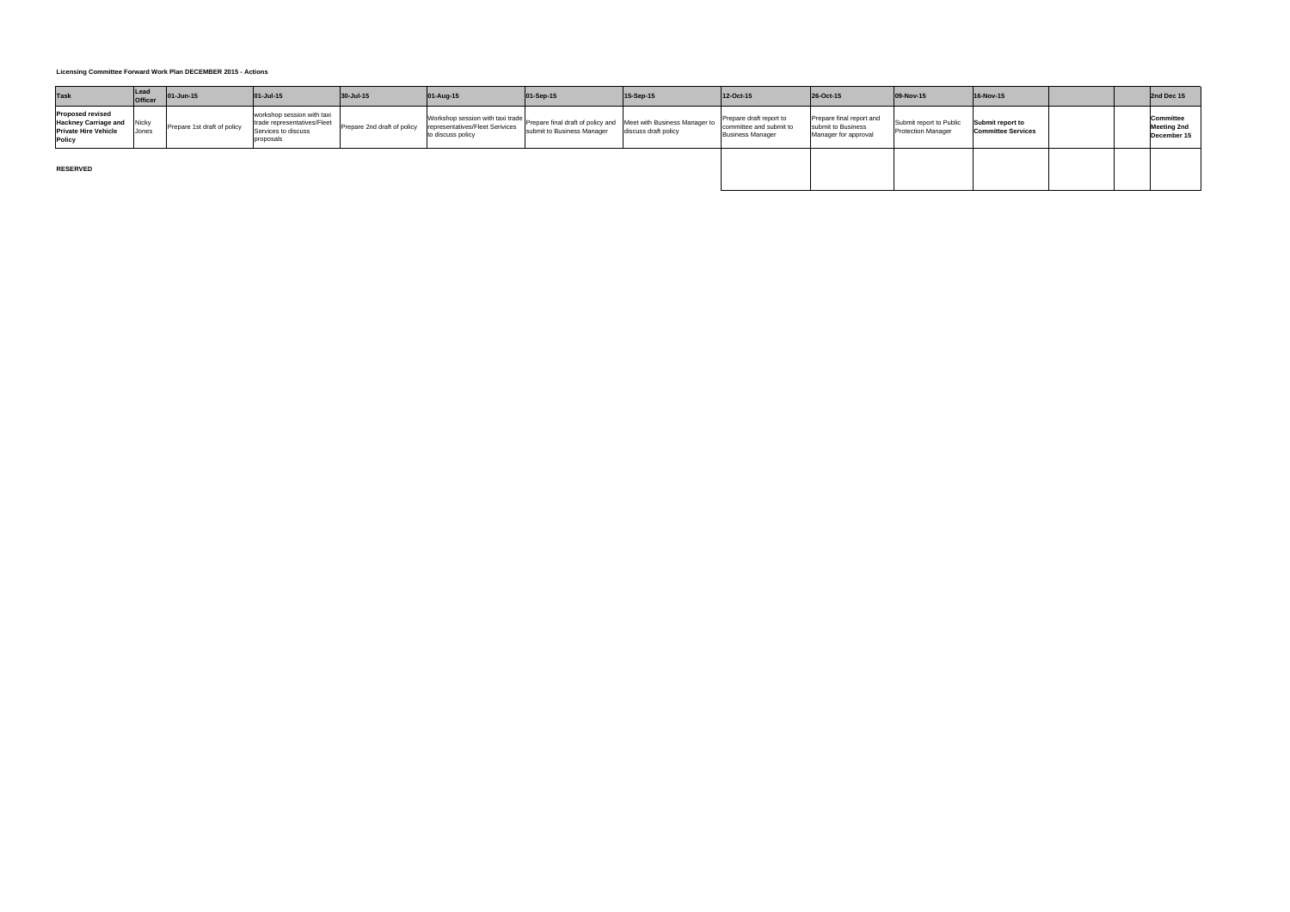| <b>Task</b>                                                                                           | Lead<br><b>Officer</b> | 01-Jun-15                   | 01-Jul-15                                                                                     | 30-Jul-15                   | 01-Aug-15         | 01-Sep-15                                                                                                                      | 15-Sep-15            | 12-Oct-15                                                                     | 26-Oct-15                                                              | 09-Nov-15                                            | 16-Nov-15                                     |  | 2nd Dec 15                                     |
|-------------------------------------------------------------------------------------------------------|------------------------|-----------------------------|-----------------------------------------------------------------------------------------------|-----------------------------|-------------------|--------------------------------------------------------------------------------------------------------------------------------|----------------------|-------------------------------------------------------------------------------|------------------------------------------------------------------------|------------------------------------------------------|-----------------------------------------------|--|------------------------------------------------|
| <b>Proposed revised</b><br><b>Hackney Carriage and Nicky</b><br><b>Private Hire Vehicle</b><br>Policy | Jones                  | Prepare 1st draft of policy | workshop session with taxi<br>trade representatives/Fleet<br>Services to discuss<br>proposals | Prepare 2nd draft of policy | to discuss policy | Workshop session with taxi trade Prepare final draft of policy and Meet with Business Manager to<br>submit to Business Manager | discuss draft policy | Prepare draft report to<br>committee and submit to<br><b>Business Manager</b> | Prepare final report and<br>submit to Business<br>Manager for approval | Submit report to Public<br><b>Protection Manager</b> | Submit report to<br><b>Committee Services</b> |  | Committee<br><b>Meeting 2nd</b><br>December 15 |
| <b>RESERVED</b>                                                                                       |                        |                             |                                                                                               |                             |                   |                                                                                                                                |                      |                                                                               |                                                                        |                                                      |                                               |  |                                                |

**Licensing Committee Forward Work Plan DECEMBER 2015 - Actions**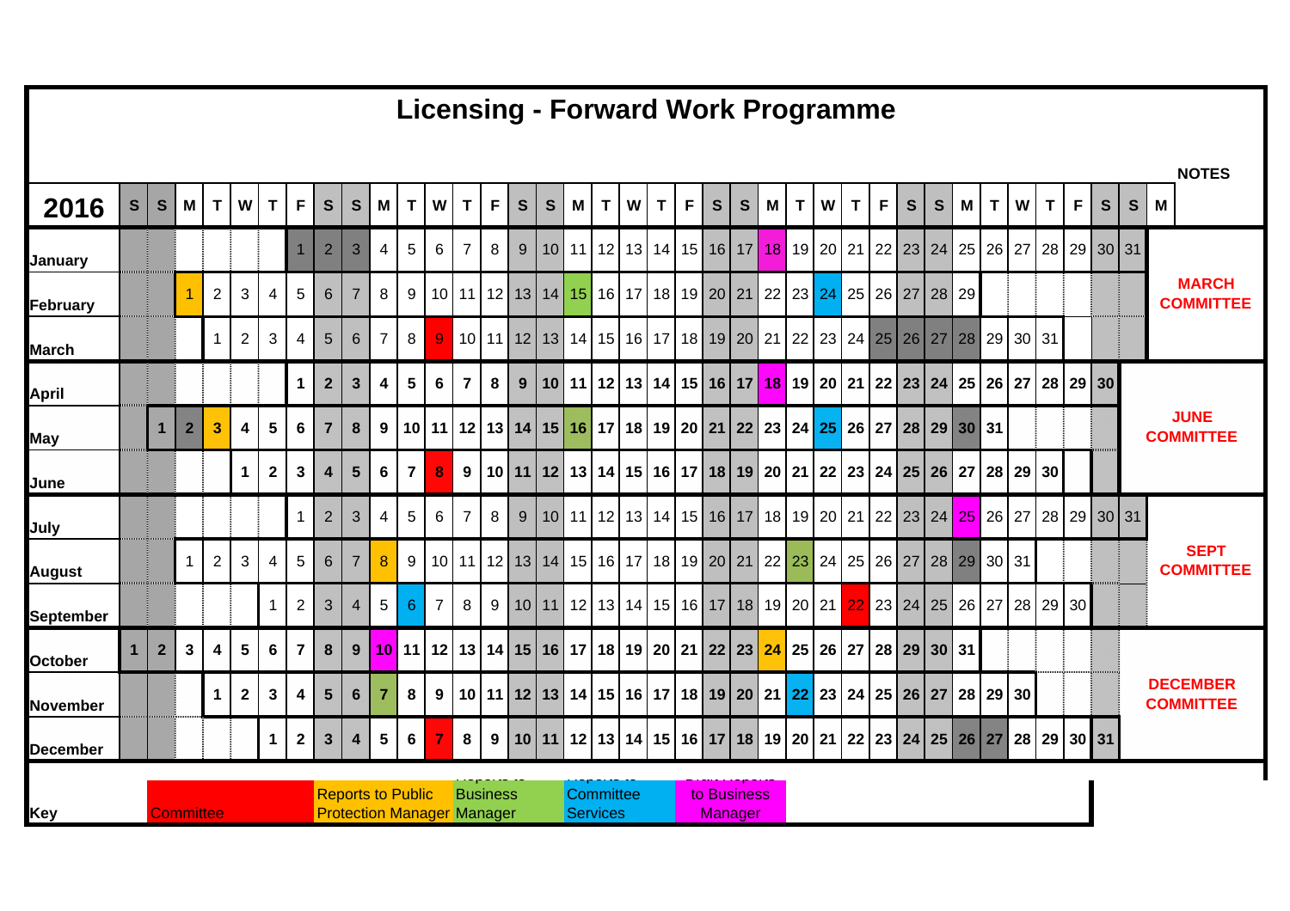|                  |                |                |                  |                |                |                |                         |                  |                                   |                |                |                |                |                 |           |              |   |                   |   |                                          |   |              |             |   |   |   | <b>Licensing - Forward Work Programme</b> |             |                                                                   |   |                                                                                                            |    |          |              |             |                                                                                                                          |              |                                     |  |
|------------------|----------------|----------------|------------------|----------------|----------------|----------------|-------------------------|------------------|-----------------------------------|----------------|----------------|----------------|----------------|-----------------|-----------|--------------|---|-------------------|---|------------------------------------------|---|--------------|-------------|---|---|---|-------------------------------------------|-------------|-------------------------------------------------------------------|---|------------------------------------------------------------------------------------------------------------|----|----------|--------------|-------------|--------------------------------------------------------------------------------------------------------------------------|--------------|-------------------------------------|--|
|                  |                |                |                  |                |                |                |                         |                  |                                   |                |                |                |                |                 |           |              |   |                   |   |                                          |   |              |             |   |   |   |                                           |             |                                                                   |   |                                                                                                            |    |          |              |             |                                                                                                                          |              | <b>NOTES</b>                        |  |
| 2016             | S              | S              | M                | $\mathbf{T}$   | <b>W</b>       | T              | F                       | S                | <b>S</b>                          | M              | T              | W              | T              | F               | ${\bf S}$ | $\mathbf{s}$ | M | T                 | W | T.                                       | F | $\mathbf{s}$ | S           | M | T | W | T                                         | $\mathsf F$ | <b>S</b>                                                          | S | M                                                                                                          | T. | W        | $\mathbf{T}$ | F           | $\mathbf{s}$                                                                                                             | $\mathsf{S}$ | M                                   |  |
| January          |                |                |                  |                |                |                | $\mathbf 1$             | $\overline{2}$   | 3                                 | $\overline{4}$ | 5 <sup>5</sup> | 6              | 7              | 8               | 9         | 10           |   | $11 \mid 12 \mid$ |   | 13   14   15   16   17                   |   |              |             |   |   |   | 18 19 20 21                               |             | 22 23 24 25                                                       |   |                                                                                                            |    | $26$ 27  |              |             | 28 29 30 31                                                                                                              |              |                                     |  |
| <b>February</b>  |                |                |                  | 2              | 3              | $\overline{4}$ | 5                       | $6 \overline{6}$ | 7                                 | 8              | 9 <sup>1</sup> |                |                |                 |           |              |   |                   |   |                                          |   |              |             |   |   |   |                                           |             | 10 11 12 13 14 15 16 17 18 19 20 21 22 23 24 25 26 27 28 29       |   |                                                                                                            |    |          |              |             |                                                                                                                          |              | <b>MARCH</b><br><b>COMMITTEE</b>    |  |
| <b>March</b>     |                |                |                  | $\mathbf 1$    | $\overline{2}$ | 3              | 4                       | $5\phantom{.}$   | 6                                 | 7              | 8              |                |                |                 |           |              |   |                   |   |                                          |   |              |             |   |   |   |                                           |             | 10 11 12 13 14 15 16 17 18 19 20 21 22 23 24 25 26 27             |   | 28                                                                                                         |    | 29 30 31 |              |             |                                                                                                                          |              |                                     |  |
| <b>April</b>     |                |                |                  |                |                |                | $\mathbf{1}$            | $\overline{2}$   | $\mathbf{3}$                      | 4              | 5 <sup>1</sup> | 6              | $\overline{7}$ | 8 <sup>1</sup>  | 9         |              |   |                   |   |                                          |   |              |             |   |   |   |                                           |             |                                                                   |   | 10   11   12   13   14   15   16   17   18   19   20   21   22   23   24   25   26   27   28   29   30     |    |          |              |             |                                                                                                                          |              |                                     |  |
| <b>May</b>       |                | $\overline{1}$ | $\overline{2}$   | 3              | 4              | 5              | 6                       | $\overline{7}$   | 8                                 | 9              |                |                |                |                 |           |              |   |                   |   |                                          |   |              |             |   |   |   |                                           |             |                                                                   |   | 10 11 12 13 14 15 16 17 18 19 20 21 22 23 24 25 26 27 28 29 30 31                                          |    |          |              |             |                                                                                                                          |              | <b>JUNE</b><br><b>COMMITTEE</b>     |  |
| June             |                |                |                  |                | $\mathbf 1$    | $\mathbf{2}$   | 3                       | $\overline{4}$   | $5\phantom{.0}$                   | 6              | 7 <sup>1</sup> | 8              | 9              |                 |           |              |   |                   |   |                                          |   |              |             |   |   |   |                                           |             |                                                                   |   | 10   11   12   13   14   15   16   17   18   19   20   21   22   23   24   25   26   27                    |    | 28 29 30 |              |             |                                                                                                                          |              |                                     |  |
| July             |                |                |                  |                |                |                | $\mathbf{1}$            | $2^{\circ}$      | 3                                 | 4              | 5 <sup>5</sup> | 6              | $\overline{7}$ | 8 <sup>1</sup>  | 9         |              |   |                   |   |                                          |   |              |             |   |   |   |                                           |             |                                                                   |   |                                                                                                            |    |          |              |             | 10   11   12   13   14   15   16   17   18   19   20   21   22   23   24 <mark>  25  </mark> 26   27   28   29   30   31 |              |                                     |  |
| <b>August</b>    |                |                | 1                | 2              | 3              | 4              | 5                       | $6^{\circ}$      | $\overline{7}$                    | 8              | 9 <sup>1</sup> |                |                |                 |           |              |   |                   |   |                                          |   |              |             |   |   |   |                                           |             |                                                                   |   | 10 11 12 13 14 15 16 17 18 19 20 21 22 23 24 25 26 27 28 29 30 31                                          |    |          |              |             |                                                                                                                          |              | <b>SEPT</b><br><b>COMMITTEE</b>     |  |
| <b>September</b> |                |                |                  |                |                | $\mathbf{1}$   | $\overline{2}$          | $\mathbf{3}$     | $\overline{\mathcal{A}}$          | 5              | 6 <sup>°</sup> | $\overline{7}$ | 8              |                 |           |              |   |                   |   | 9 10 11 12 13 14 15 16 17 18 19 20 21 22 |   |              |             |   |   |   |                                           |             |                                                                   |   | 23 24 25 26 27 28 29 30                                                                                    |    |          |              |             |                                                                                                                          |              |                                     |  |
| <b>October</b>   | $\blacksquare$ | $\overline{2}$ | 3                | $\overline{4}$ | 5              | 6              | 7                       | 8                | 9                                 |                |                |                |                |                 |           |              |   |                   |   |                                          |   |              |             |   |   |   |                                           |             | 10 11 12 13 14 15 16 17 18 19 20 21 22 23 24 25 26 27 28 29 30 31 |   |                                                                                                            |    |          |              |             |                                                                                                                          |              |                                     |  |
| <b>November</b>  |                |                |                  | $\mathbf 1$    | $\mathbf{2}$   | $\mathbf{3}$   | $\overline{\mathbf{4}}$ | $5\overline{)}$  | 6                                 | $\overline{7}$ | 8              |                |                |                 |           |              |   |                   |   |                                          |   |              |             |   |   |   |                                           |             |                                                                   |   | 9   10   11   12   13   14   15   16   17   18   19   20   21   22   23   24   25   26   27   28   29   30 |    |          |              |             |                                                                                                                          |              | <b>DECEMBER</b><br><b>COMMITTEE</b> |  |
| <b>December</b>  |                |                |                  |                |                | $\mathbf 1$    | $\overline{2}$          | $\mathbf{3}$     | 4                                 | 5              | $6\phantom{1}$ |                | 8              | 9 <sup>1</sup>  |           |              |   |                   |   |                                          |   |              |             |   |   |   |                                           |             |                                                                   |   | 10   11   12   13   14   15   16   17   18   19   20   21   22   23   24   25   26   27                    |    |          |              | 28 29 30 31 |                                                                                                                          |              |                                     |  |
|                  |                |                |                  |                |                |                |                         |                  | <b>Reports to Public</b>          |                |                |                |                | <b>Business</b> |           |              |   | Committee         |   |                                          |   |              | to Business |   |   |   |                                           |             |                                                                   |   |                                                                                                            |    |          |              |             |                                                                                                                          |              |                                     |  |
| Key              |                |                | <b>Committee</b> |                |                |                |                         |                  | <b>Protection Manager Manager</b> |                |                |                |                |                 |           |              |   | <b>Services</b>   |   |                                          |   |              | Manager     |   |   |   |                                           |             |                                                                   |   |                                                                                                            |    |          |              |             |                                                                                                                          |              |                                     |  |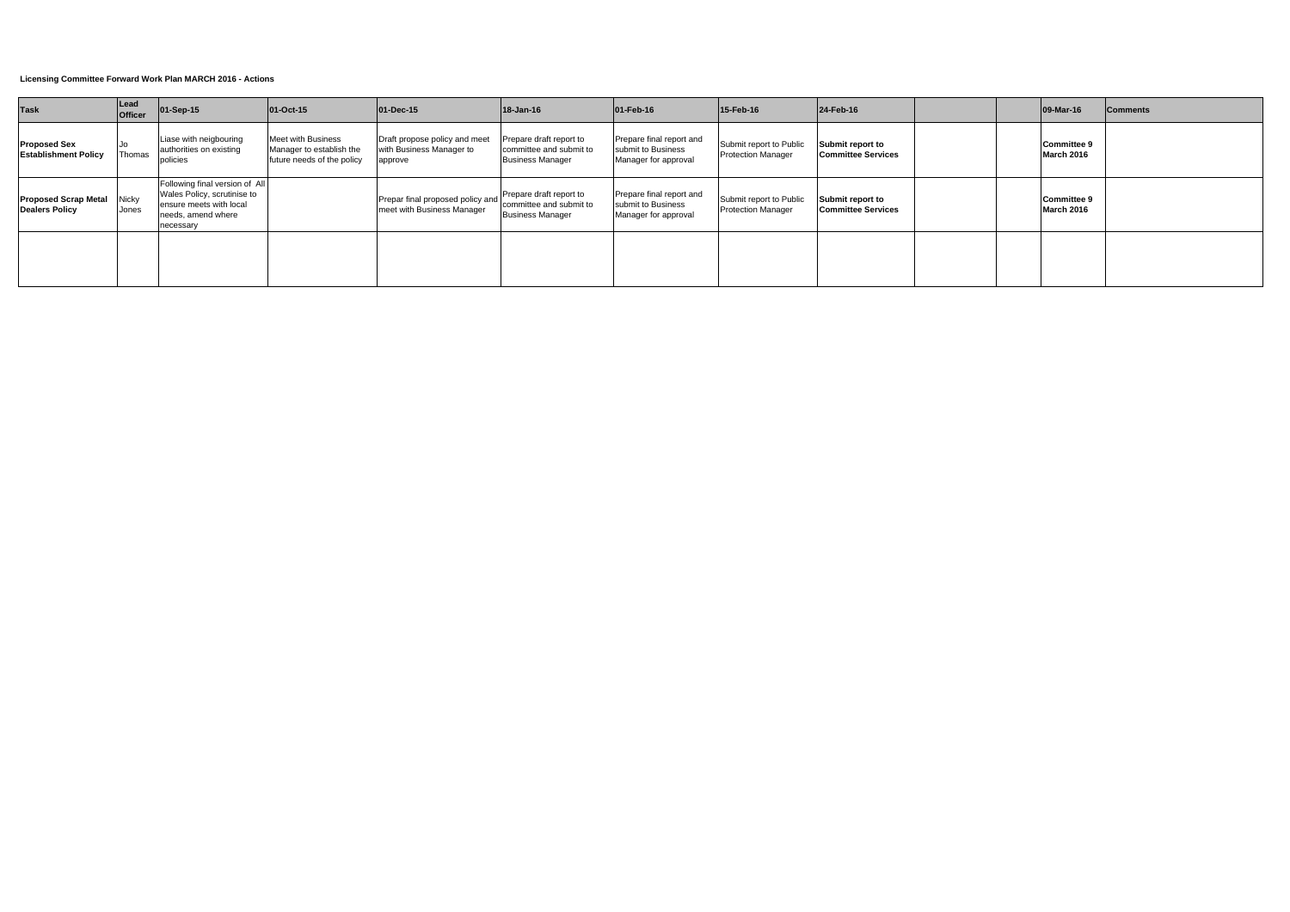| <b>Task</b>                                        | Lead<br><b>Officer</b> | 01-Sep-15                                                                                                                   | $ 01$ -Oct-15                                                                       | $ 01 - Dec-15 $                                                      | $18 - Jan-16$                                                                 | $ 01 - \text{Feb} - 16 $                                               | 15-Feb-16                                            | $24$ -Feb-16                                  |  | $ 09-Mar-16 $                    | <b>Comments</b> |
|----------------------------------------------------|------------------------|-----------------------------------------------------------------------------------------------------------------------------|-------------------------------------------------------------------------------------|----------------------------------------------------------------------|-------------------------------------------------------------------------------|------------------------------------------------------------------------|------------------------------------------------------|-----------------------------------------------|--|----------------------------------|-----------------|
| <b>Proposed Sex</b><br><b>Establishment Policy</b> | Jo<br>Thomas           | Liase with neigbouring<br>authorities on existing<br>policies                                                               | <b>Meet with Business</b><br>Manager to establish the<br>future needs of the policy | Draft propose policy and meet<br>with Business Manager to<br>approve | Prepare draft report to<br>committee and submit to<br><b>Business Manager</b> | Prepare final report and<br>submit to Business<br>Manager for approval | Submit report to Public<br><b>Protection Manager</b> | Submit report to<br><b>Committee Services</b> |  | Committee 9<br>March 2016        |                 |
| <b>Proposed Scrap Metal</b><br>Dealers Policy      | Nicky<br>Jones         | Following final version of All<br>Wales Policy, scrutinise to<br>ensure meets with local<br>needs, amend where<br>necessary |                                                                                     | Prepar final proposed policy and<br>meet with Business Manager       | Prepare draft report to<br>committee and submit to<br><b>Business Manager</b> | Prepare final report and<br>submit to Business<br>Manager for approval | Submit report to Public<br><b>Protection Manager</b> | Submit report to<br><b>Committee Services</b> |  | <b>Committee 9</b><br>March 2016 |                 |
|                                                    |                        |                                                                                                                             |                                                                                     |                                                                      |                                                                               |                                                                        |                                                      |                                               |  |                                  |                 |

## **Licensing Committee Forward Work Plan MARCH 2016 - Actions**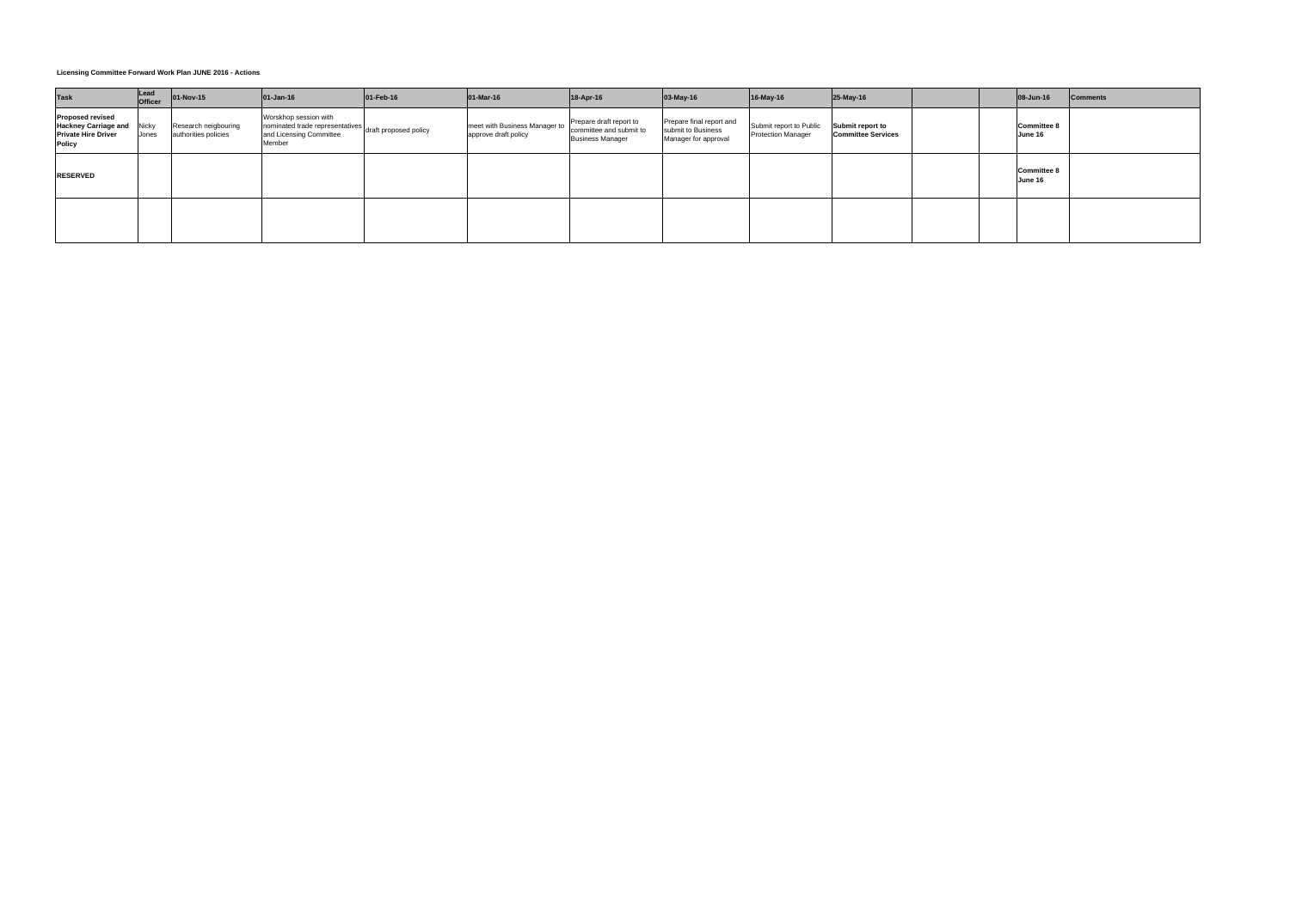| <b>Task</b>                                                                                           | Lead<br><b>Officer</b> | 01-Nov-15                                    | $ 01 - Jan - 16 $                                                                                                    | $ 01 - \text{Feb} - 16 $ | $ 01 - $ Mar-16                                       | 18-Apr-16                                                                     | $03-May-16$                                                            | 16-May-16                                            | 25-May-16                                     |  | 08-Jun-16                     | <b>Comments</b> |
|-------------------------------------------------------------------------------------------------------|------------------------|----------------------------------------------|----------------------------------------------------------------------------------------------------------------------|--------------------------|-------------------------------------------------------|-------------------------------------------------------------------------------|------------------------------------------------------------------------|------------------------------------------------------|-----------------------------------------------|--|-------------------------------|-----------------|
| <b>Proposed revised</b><br><b>Hackney Carriage and</b><br><b>Private Hire Driver</b><br><b>Policy</b> | <b>Nicky</b><br>Jones  | Research neigbouring<br>authorities policies | Worskhop session with<br>nonsinated trade representatives draft proposed policy<br>and Licensing Committee<br>Member |                          | meet with Business Manager to<br>approve draft policy | Prepare draft report to<br>committee and submit to<br><b>Business Manager</b> | Prepare final report and<br>submit to Business<br>Manager for approval | Submit report to Public<br><b>Protection Manager</b> | Submit report to<br><b>Committee Services</b> |  | <b>Committee 8</b><br>June 16 |                 |
| <b>RESERVED</b>                                                                                       |                        |                                              |                                                                                                                      |                          |                                                       |                                                                               |                                                                        |                                                      |                                               |  | <b>Committee 8</b><br>June 16 |                 |
|                                                                                                       |                        |                                              |                                                                                                                      |                          |                                                       |                                                                               |                                                                        |                                                      |                                               |  |                               |                 |

## **Licensing Committee Forward Work Plan JUNE 2016 - Actions**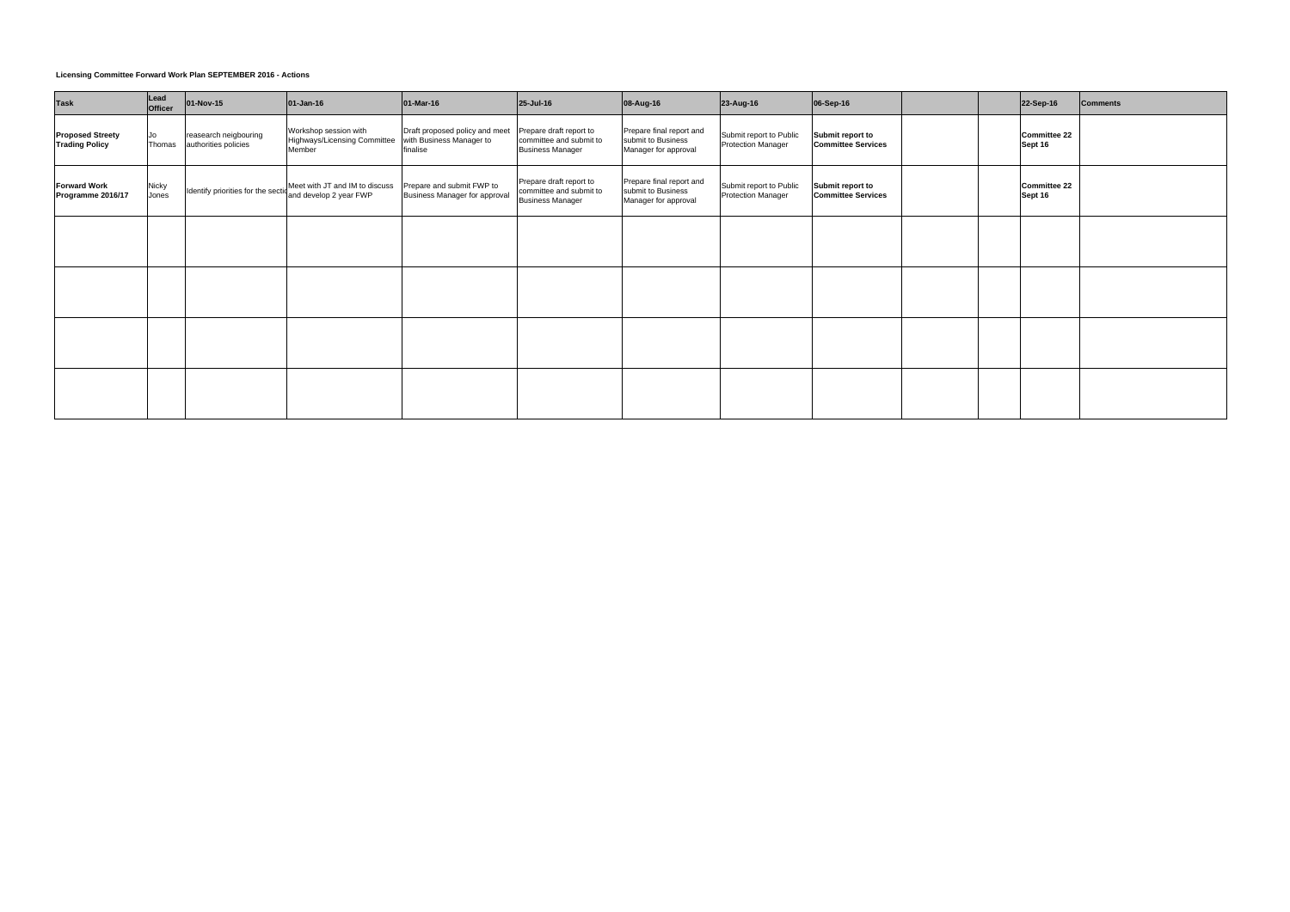| <b>Task</b>                                      | Lead<br>Officer | 01-Nov-15                                     | $01-Jan-16$                                                                                  | 01-Mar-16                                                              | 25-Jul-16                                                                     | 08-Aug-16                                                              | 23-Aug-16                                            | 06-Sep-16                                     | 22-Sep-16                      | <b>Comments</b> |
|--------------------------------------------------|-----------------|-----------------------------------------------|----------------------------------------------------------------------------------------------|------------------------------------------------------------------------|-------------------------------------------------------------------------------|------------------------------------------------------------------------|------------------------------------------------------|-----------------------------------------------|--------------------------------|-----------------|
| <b>Proposed Streety</b><br><b>Trading Policy</b> | Jo<br>Thomas    | reasearch neigbouring<br>authorities policies | Workshop session with<br>Highways/Licensing Committee<br>Member                              | Draft proposed policy and meet<br>with Business Manager to<br>finalise | Prepare draft report to<br>committee and submit to<br><b>Business Manager</b> | Prepare final report and<br>submit to Business<br>Manager for approval | Submit report to Public<br><b>Protection Manager</b> | Submit report to<br><b>Committee Services</b> | <b>Committee 22</b><br>Sept 16 |                 |
| <b>Forward Work</b><br>Programme 2016/17         | Nicky<br>Jones  |                                               | Identify priorities for the section Meet with JT and IM to discuss<br>and develop 2 year FWP | Prepare and submit FWP to<br>Business Manager for approval             | Prepare draft report to<br>committee and submit to<br><b>Business Manager</b> | Prepare final report and<br>submit to Business<br>Manager for approval | Submit report to Public<br>Protection Manager        | Submit report to<br><b>Committee Services</b> | <b>Committee 22</b><br>Sept 16 |                 |
|                                                  |                 |                                               |                                                                                              |                                                                        |                                                                               |                                                                        |                                                      |                                               |                                |                 |
|                                                  |                 |                                               |                                                                                              |                                                                        |                                                                               |                                                                        |                                                      |                                               |                                |                 |
|                                                  |                 |                                               |                                                                                              |                                                                        |                                                                               |                                                                        |                                                      |                                               |                                |                 |
|                                                  |                 |                                               |                                                                                              |                                                                        |                                                                               |                                                                        |                                                      |                                               |                                |                 |

# **Licensing Committee Forward Work Plan SEPTEMBER 2016 - Actions**